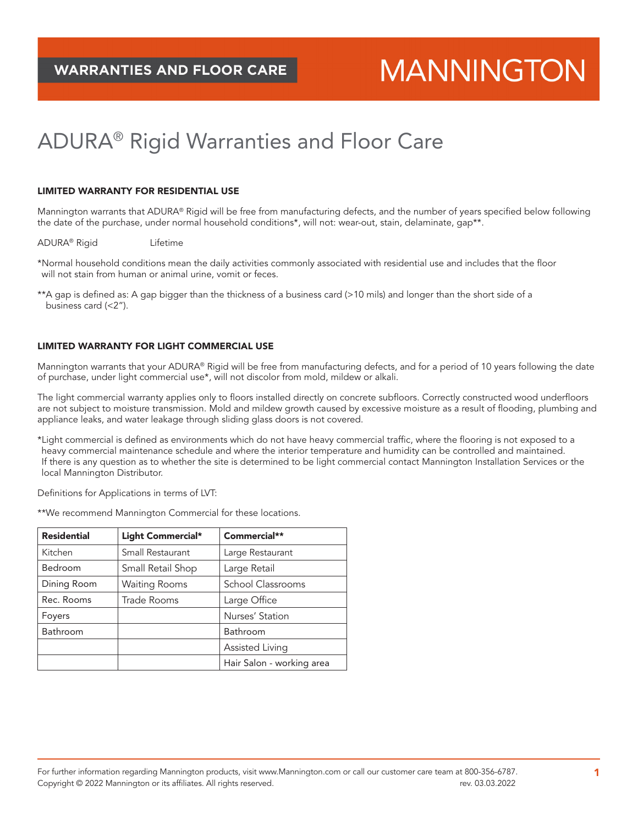# **MANNINGTON**

# ADURA® Rigid Warranties and Floor Care

## LIMITED WARRANTY FOR RESIDENTIAL USE

Mannington warrants that ADURA® Rigid will be free from manufacturing defects, and the number of years specified below following the date of the purchase, under normal household conditions\*, will not: wear-out, stain, delaminate, gap\*\*.

ADURA® Rigid Lifetime

\*Normal household conditions mean the daily activities commonly associated with residential use and includes that the floor will not stain from human or animal urine, vomit or feces.

\*\*A gap is defined as: A gap bigger than the thickness of a business card (>10 mils) and longer than the short side of a business card (<2").

# LIMITED WARRANTY FOR LIGHT COMMERCIAL USE

Mannington warrants that your ADURA® Rigid will be free from manufacturing defects, and for a period of 10 years following the date of purchase, under light commercial use\*, will not discolor from mold, mildew or alkali.

The light commercial warranty applies only to floors installed directly on concrete subfloors. Correctly constructed wood underfloors are not subject to moisture transmission. Mold and mildew growth caused by excessive moisture as a result of flooding, plumbing and appliance leaks, and water leakage through sliding glass doors is not covered.

\*Light commercial is defined as environments which do not have heavy commercial traffic, where the flooring is not exposed to a heavy commercial maintenance schedule and where the interior temperature and humidity can be controlled and maintained. If there is any question as to whether the site is determined to be light commercial contact Mannington Installation Services or the local Mannington Distributor.

Definitions for Applications in terms of LVT:

\*\*We recommend Mannington Commercial for these locations.

| <b>Residential</b> | Light Commercial*    | Commercial**              |
|--------------------|----------------------|---------------------------|
| Kitchen            | Small Restaurant     | Large Restaurant          |
| Bedroom            | Small Retail Shop    | Large Retail              |
| Dining Room        | <b>Waiting Rooms</b> | School Classrooms         |
| Rec. Rooms         | Trade Rooms          | Large Office              |
| Foyers             |                      | Nurses' Station           |
| Bathroom           |                      | Bathroom                  |
|                    |                      | Assisted Living           |
|                    |                      | Hair Salon - working area |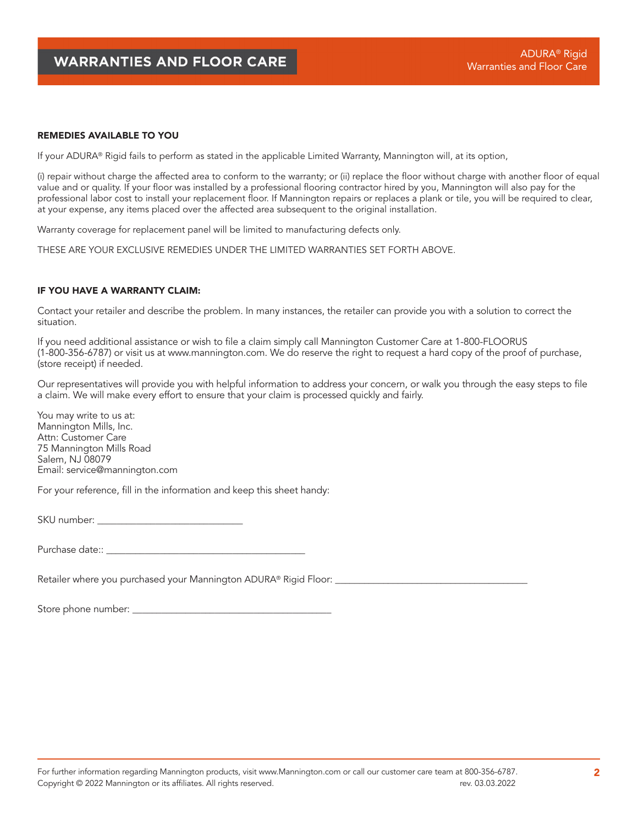#### REMEDIES AVAILABLE TO YOU

If your ADURA® Rigid fails to perform as stated in the applicable Limited Warranty, Mannington will, at its option,

(i) repair without charge the affected area to conform to the warranty; or (ii) replace the floor without charge with another floor of equal value and or quality. If your floor was installed by a professional flooring contractor hired by you, Mannington will also pay for the professional labor cost to install your replacement floor. If Mannington repairs or replaces a plank or tile, you will be required to clear, at your expense, any items placed over the affected area subsequent to the original installation.

Warranty coverage for replacement panel will be limited to manufacturing defects only.

THESE ARE YOUR EXCLUSIVE REMEDIES UNDER THE LIMITED WARRANTIES SET FORTH ABOVE.

### IF YOU HAVE A WARRANTY CLAIM:

Contact your retailer and describe the problem. In many instances, the retailer can provide you with a solution to correct the situation.

If you need additional assistance or wish to file a claim simply call Mannington Customer Care at 1-800-FLOORUS (1-800-356-6787) or visit us at www.mannington.com. We do reserve the right to request a hard copy of the proof of purchase, (store receipt) if needed.

Our representatives will provide you with helpful information to address your concern, or walk you through the easy steps to file a claim. We will make every effort to ensure that your claim is processed quickly and fairly.

You may write to us at: Mannington Mills, Inc. Attn: Customer Care 75 Mannington Mills Road Salem, NJ 08079 Email: service@mannington.com

For your reference, fill in the information and keep this sheet handy:

SKU number: \_\_\_\_\_\_\_\_\_\_\_\_\_\_\_\_\_\_\_\_\_\_\_\_\_\_\_\_\_\_

Purchase date:: \_\_\_\_\_\_\_\_\_\_\_\_\_\_\_\_\_\_\_\_\_\_\_\_\_\_\_\_\_\_\_\_\_\_\_\_\_\_\_\_\_

Retailer where you purchased your Mannington ADURA® Rigid Floor: \_\_\_\_\_\_\_\_\_\_\_\_\_\_\_

Store phone number: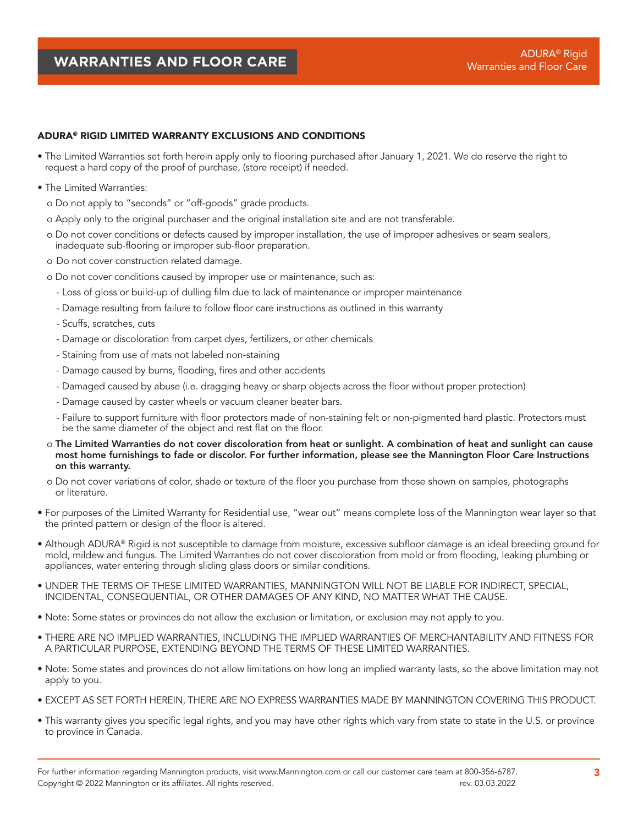# ADURA® RIGID LIMITED WARRANTY EXCLUSIONS AND CONDITIONS

- The Limited Warranties set forth herein apply only to flooring purchased after January 1, 2021. We do reserve the right to request a hard copy of the proof of purchase, (store receipt) if needed.
- The Limited Warranties:
	- o Do not apply to "seconds" or "off-goods" grade products.
	- o Apply only to the original purchaser and the original installation site and are not transferable.
	- o Do not cover conditions or defects caused by improper installation, the use of improper adhesives or seam sealers, inadequate sub-flooring or improper sub-floor preparation.
	- o Do not cover construction related damage.
	- o Do not cover conditions caused by improper use or maintenance, such as:
		- Loss of gloss or build-up of dulling film due to lack of maintenance or improper maintenance
		- Damage resulting from failure to follow floor care instructions as outlined in this warranty
		- Scuffs, scratches, cuts
		- Damage or discoloration from carpet dyes, fertilizers, or other chemicals
		- Staining from use of mats not labeled non-staining
		- Damage caused by burns, flooding, fires and other accidents
		- Damaged caused by abuse (i.e. dragging heavy or sharp objects across the floor without proper protection)
		- Damage caused by caster wheels or vacuum cleaner beater bars.
		- Failure to support furniture with floor protectors made of non-staining felt or non-pigmented hard plastic. Protectors must be the same diameter of the object and rest flat on the floor.
	- o The Limited Warranties do not cover discoloration from heat or sunlight. A combination of heat and sunlight can cause most home furnishings to fade or discolor. For further information, please see the Mannington Floor Care Instructions on this warranty.
	- o Do not cover variations of color, shade or texture of the floor you purchase from those shown on samples, photographs or literature.
- For purposes of the Limited Warranty for Residential use, "wear out" means complete loss of the Mannington wear layer so that the printed pattern or design of the floor is altered.
- Although ADURA® Rigid is not susceptible to damage from moisture, excessive subfloor damage is an ideal breeding ground for mold, mildew and fungus. The Limited Warranties do not cover discoloration from mold or from flooding, leaking plumbing or appliances, water entering through sliding glass doors or similar conditions.
- UNDER THE TERMS OF THESE LIMITED WARRANTIES, MANNINGTON WILL NOT BE LIABLE FOR INDIRECT, SPECIAL, INCIDENTAL, CONSEQUENTIAL, OR OTHER DAMAGES OF ANY KIND, NO MATTER WHAT THE CAUSE.
- Note: Some states or provinces do not allow the exclusion or limitation, or exclusion may not apply to you.
- THERE ARE NO IMPLIED WARRANTIES, INCLUDING THE IMPLIED WARRANTIES OF MERCHANTABILITY AND FITNESS FOR A PARTICULAR PURPOSE, EXTENDING BEYOND THE TERMS OF THESE LIMITED WARRANTIES.
- Note: Some states and provinces do not allow limitations on how long an implied warranty lasts, so the above limitation may not apply to you.
- EXCEPT AS SET FORTH HEREIN, THERE ARE NO EXPRESS WARRANTIES MADE BY MANNINGTON COVERING THIS PRODUCT.
- This warranty gives you specific legal rights, and you may have other rights which vary from state to state in the U.S. or province to province in Canada.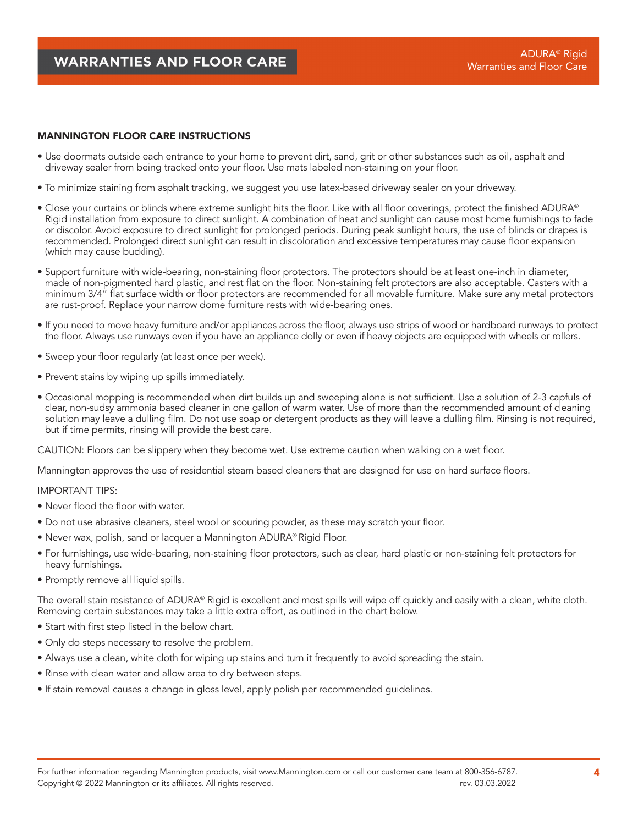# MANNINGTON FLOOR CARE INSTRUCTIONS

- Use doormats outside each entrance to your home to prevent dirt, sand, grit or other substances such as oil, asphalt and driveway sealer from being tracked onto your floor. Use mats labeled non-staining on your floor.
- To minimize staining from asphalt tracking, we suggest you use latex-based driveway sealer on your driveway.
- Close your curtains or blinds where extreme sunlight hits the floor. Like with all floor coverings, protect the finished ADURA® Rigid installation from exposure to direct sunlight. A combination of heat and sunlight can cause most home furnishings to fade or discolor. Avoid exposure to direct sunlight for prolonged periods. During peak sunlight hours, the use of blinds or drapes is recommended. Prolonged direct sunlight can result in discoloration and excessive temperatures may cause floor expansion (which may cause buckling).
- Support furniture with wide-bearing, non-staining floor protectors. The protectors should be at least one-inch in diameter, made of non-pigmented hard plastic, and rest flat on the floor. Non-staining felt protectors are also acceptable. Casters with a minimum 3/4" flat surface width or floor protectors are recommended for all movable furniture. Make sure any metal protectors are rust-proof. Replace your narrow dome furniture rests with wide-bearing ones.
- If you need to move heavy furniture and/or appliances across the floor, always use strips of wood or hardboard runways to protect the floor. Always use runways even if you have an appliance dolly or even if heavy objects are equipped with wheels or rollers.
- Sweep your floor regularly (at least once per week).
- Prevent stains by wiping up spills immediately.
- Occasional mopping is recommended when dirt builds up and sweeping alone is not sufficient. Use a solution of 2-3 capfuls of clear, non-sudsy ammonia based cleaner in one gallon of warm water. Use of more than the recommended amount of cleaning solution may leave a dulling film. Do not use soap or detergent products as they will leave a dulling film. Rinsing is not required, but if time permits, rinsing will provide the best care.

CAUTION: Floors can be slippery when they become wet. Use extreme caution when walking on a wet floor.

Mannington approves the use of residential steam based cleaners that are designed for use on hard surface floors.

#### IMPORTANT TIPS:

- Never flood the floor with water.
- Do not use abrasive cleaners, steel wool or scouring powder, as these may scratch your floor.
- Never wax, polish, sand or lacquer a Mannington ADURA® Rigid Floor.
- For furnishings, use wide-bearing, non-staining floor protectors, such as clear, hard plastic or non-staining felt protectors for heavy furnishings.
- Promptly remove all liquid spills.

The overall stain resistance of ADURA® Rigid is excellent and most spills will wipe off quickly and easily with a clean, white cloth. Removing certain substances may take a little extra effort, as outlined in the chart below.

- Start with first step listed in the below chart.
- Only do steps necessary to resolve the problem.
- Always use a clean, white cloth for wiping up stains and turn it frequently to avoid spreading the stain.
- Rinse with clean water and allow area to dry between steps.
- If stain removal causes a change in gloss level, apply polish per recommended guidelines.